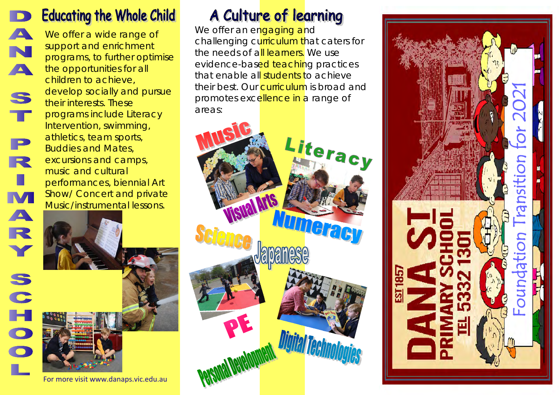## **Educating the Whole Child**

**A** 

N

A

S

т

P

R

п

M

A

R

**S** 

 $\overline{\mathbf{C}}$ 

We offer a wide range of support and enrichment programs, to further optimise the opportunities for all children to achieve, develop socially and pursue their interests. These programs include Literacy Intervention, swimming, athletics, team sports, Buddies and Mates, excursions and camps, music and cultural performances, biennial Art Show/ Concert and private Music/instrumental lessons.

For more visit www.danaps.vic.edu.au

## A Culture of learning

We offer an engaging and challenging curriculum that caters for the needs of all learners. We use evidence-based teaching practices that enable all students to achieve their best. Our **curriculum** is broad and promotes excellence in a range of areas: